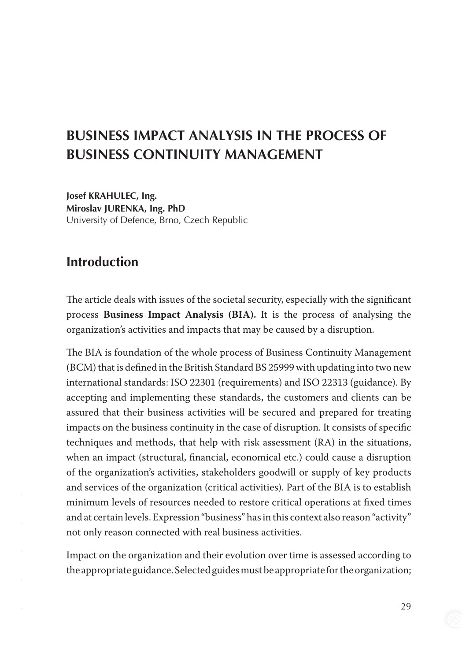# **Business Impact Analysis in the process of business continuity management**

**Josef Krahulec, Ing. Miroslav Jurenka, Ing. PhD** University of Defence, Brno, Czech Republic

### **Introduction**

The article deals with issues of the societal security, especially with the significant process **Business Impact Analysis (BIA).** It is the process of analysing the organization's activities and impacts that may be caused by a disruption.

The BIA is foundation of the whole process of Business Continuity Management (BCM) that is defined in the British Standard BS 25999 with updating into two new international standards: ISO 22301 (requirements) and ISO 22313 (guidance). By accepting and implementing these standards, the customers and clients can be assured that their business activities will be secured and prepared for treating impacts on the business continuity in the case of disruption. It consists of specific techniques and methods, that help with risk assessment (RA) in the situations, when an impact (structural, financial, economical etc.) could cause a disruption of the organization's activities, stakeholders goodwill or supply of key products and services of the organization (critical activities). Part of the BIA is to establish minimum levels of resources needed to restore critical operations at fixed times and at certain levels. Expression "business" has in this context also reason "activity" not only reason connected with real business activities.

Impact on the organization and their evolution over time is assessed according to the appropriate guidance. Selected guides must be appropriate for the organization;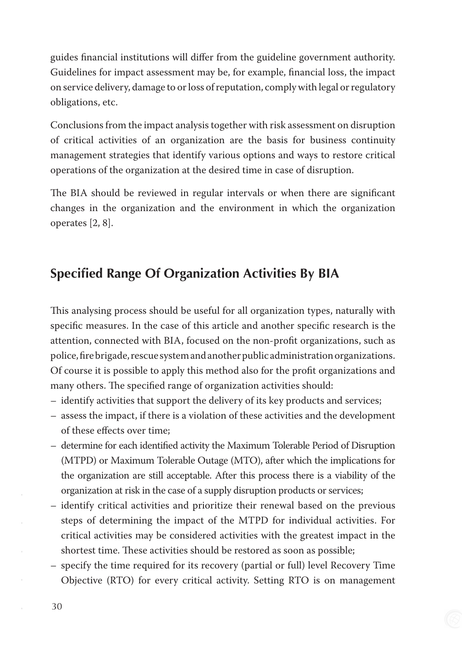guides financial institutions will differ from the guideline government authority. Guidelines for impact assessment may be, for example, financial loss, the impact on service delivery, damage to or loss of reputation, comply with legal or regulatory obligations, etc.

Conclusions from the impact analysis together with risk assessment on disruption of critical activities of an organization are the basis for business continuity management strategies that identify various options and ways to restore critical operations of the organization at the desired time in case of disruption.

The BIA should be reviewed in regular intervals or when there are significant changes in the organization and the environment in which the organization operates [2, 8].

## **Specified Range Of Organization Activities By Bia**

This analysing process should be useful for all organization types, naturally with specific measures. In the case of this article and another specific research is the attention, connected with BIA, focused on the non-profit organizations, such as police, fire brigade, rescue system and another public administration organizations. Of course it is possible to apply this method also for the profit organizations and many others. The specified range of organization activities should:

- identify activities that support the delivery of its key products and services;
- assess the impact, if there is a violation of these activities and the development of these effects over time;
- determine for each identified activity the Maximum Tolerable Period of Disruption (MTPD) or Maximum Tolerable Outage (MTO), after which the implications for the organization are still acceptable. After this process there is a viability of the organization at risk in the case of a supply disruption products or services;
- identify critical activities and prioritize their renewal based on the previous steps of determining the impact of the MTPD for individual activities. For critical activities may be considered activities with the greatest impact in the shortest time. These activities should be restored as soon as possible;
- specify the time required for its recovery (partial or full) level Recovery Time Objective (RTO) for every critical activity. Setting RTO is on management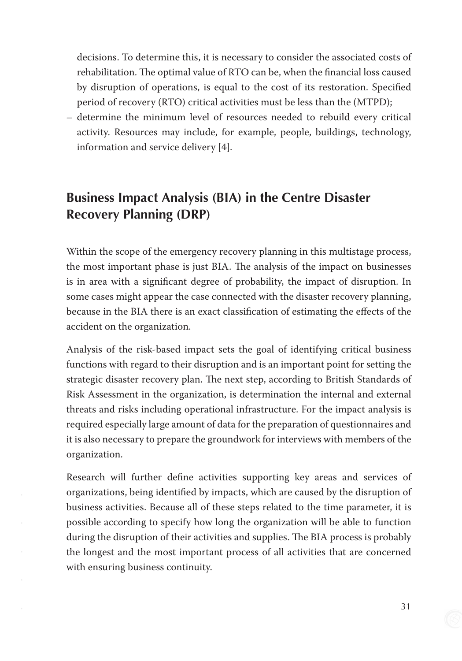decisions. To determine this, it is necessary to consider the associated costs of rehabilitation. The optimal value of RTO can be, when the financial loss caused by disruption of operations, is equal to the cost of its restoration. Specified period of recovery (RTO) critical activities must be less than the (MTPD);

– determine the minimum level of resources needed to rebuild every critical activity. Resources may include, for example, people, buildings, technology, information and service delivery [4].

## **Business Impact Analysis (Bia) in the Centre Disaster Recovery Planning (Drp)**

Within the scope of the emergency recovery planning in this multistage process, the most important phase is just BIA. The analysis of the impact on businesses is in area with a significant degree of probability, the impact of disruption. In some cases might appear the case connected with the disaster recovery planning, because in the BIA there is an exact classification of estimating the effects of the accident on the organization.

Analysis of the risk-based impact sets the goal of identifying critical business functions with regard to their disruption and is an important point for setting the strategic disaster recovery plan. The next step, according to British Standards of Risk Assessment in the organization, is determination the internal and external threats and risks including operational infrastructure. For the impact analysis is required especially large amount of data for the preparation of questionnaires and it is also necessary to prepare the groundwork for interviews with members of the organization.

Research will further define activities supporting key areas and services of organizations, being identified by impacts, which are caused by the disruption of business activities. Because all of these steps related to the time parameter, it is possible according to specify how long the organization will be able to function during the disruption of their activities and supplies. The BIA process is probably the longest and the most important process of all activities that are concerned with ensuring business continuity.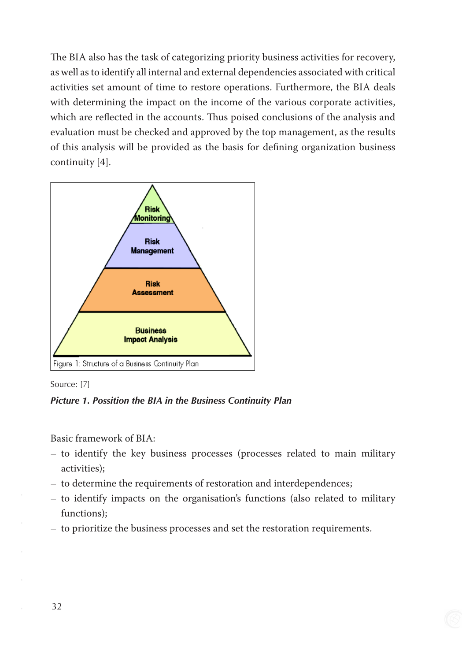The BIA also has the task of categorizing priority business activities for recovery, as well as to identify all internal and external dependencies associated with critical activities set amount of time to restore operations. Furthermore, the BIA deals with determining the impact on the income of the various corporate activities, which are reflected in the accounts. Thus poised conclusions of the analysis and evaluation must be checked and approved by the top management, as the results of this analysis will be provided as the basis for defining organization business continuity [4].





*Picture 1. Possition the BIA in the Business Continuity Plan*

Basic framework of BIA:

- to identify the key business processes (processes related to main military activities);
- to determine the requirements of restoration and interdependences;
- to identify impacts on the organisation's functions (also related to military functions);
- to prioritize the business processes and set the restoration requirements.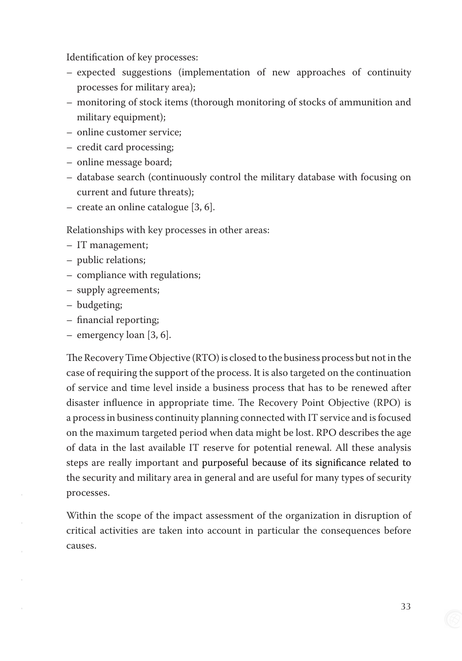Identification of key processes:

- expected suggestions (implementation of new approaches of continuity processes for military area);
- monitoring of stock items (thorough monitoring of stocks of ammunition and military equipment);
- online customer service;
- credit card processing;
- online message board;
- database search (continuously control the military database with focusing on current and future threats);
- create an online catalogue [3, 6].

Relationships with key processes in other areas:

- IT management;
- public relations;
- compliance with regulations;
- supply agreements;
- budgeting;
- financial reporting;
- emergency loan [3, 6].

The Recovery Time Objective (RTO) is closed to the business process but not in the case of requiring the support of the process. It is also targeted on the continuation of service and time level inside a business process that has to be renewed after disaster influence in appropriate time. The Recovery Point Objective (RPO) is a process in business continuity planning connected with IT service and is focused on the maximum targeted period when data might be lost. RPO describes the age of data in the last available IT reserve for potential renewal. All these analysis steps are really important and purposeful because of its significance related to the security and military area in general and are useful for many types of security processes.

Within the scope of the impact assessment of the organization in disruption of critical activities are taken into account in particular the consequences before causes.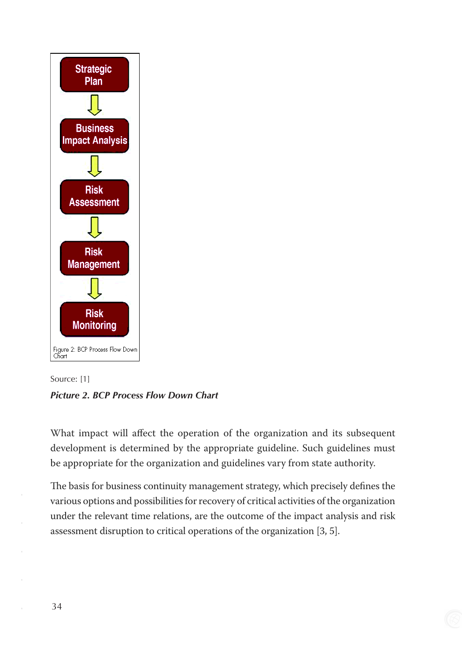



What impact will affect the operation of the organization and its subsequent development is determined by the appropriate guideline. Such guidelines must be appropriate for the organization and guidelines vary from state authority.

The basis for business continuity management strategy, which precisely defines the various options and possibilities for recovery of critical activities of the organization under the relevant time relations, are the outcome of the impact analysis and risk assessment disruption to critical operations of the organization [3, 5].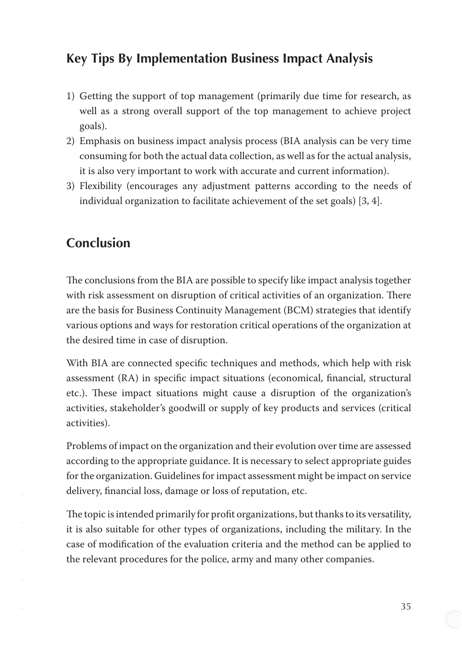## **Key Tips By Implementation Business Impact Analysis**

- 1) Getting the support of top management (primarily due time for research, as well as a strong overall support of the top management to achieve project goals).
- 2) Emphasis on business impact analysis process (BIA analysis can be very time consuming for both the actual data collection, as well as for the actual analysis, it is also very important to work with accurate and current information).
- 3) Flexibility (encourages any adjustment patterns according to the needs of individual organization to facilitate achievement of the set goals) [3, 4].

## **Conclusion**

The conclusions from the BIA are possible to specify like impact analysis together with risk assessment on disruption of critical activities of an organization. There are the basis for Business Continuity Management (BCM) strategies that identify various options and ways for restoration critical operations of the organization at the desired time in case of disruption.

With BIA are connected specific techniques and methods, which help with risk assessment (RA) in specific impact situations (economical, financial, structural etc.). These impact situations might cause a disruption of the organization's activities, stakeholder's goodwill or supply of key products and services (critical activities).

Problems of impact on the organization and their evolution over time are assessed according to the appropriate guidance. It is necessary to select appropriate guides for the organization. Guidelines for impact assessment might be impact on service delivery, financial loss, damage or loss of reputation, etc.

The topic is intended primarily for profit organizations, but thanks to its versatility, it is also suitable for other types of organizations, including the military. In the case of modification of the evaluation criteria and the method can be applied to the relevant procedures for the police, army and many other companies.